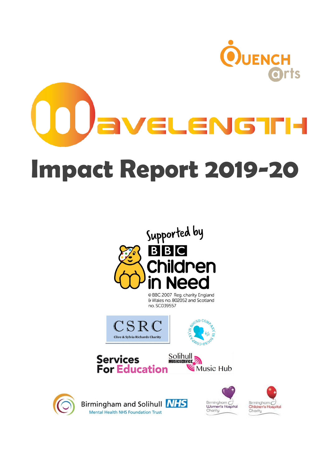



& Wales no. 802052 and Scotland no. SC039557









Birmingham and Solihull **NHS** Mental Health NHS Foundation Trust



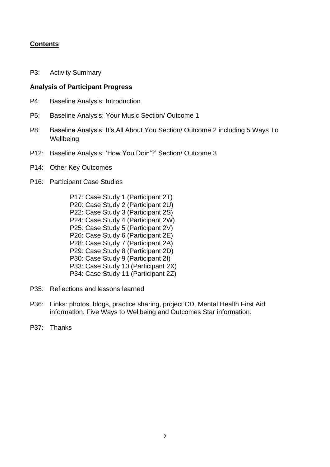## **Contents**

P3: Activity Summary

#### **Analysis of Participant Progress**

- P4: Baseline Analysis: Introduction
- P5: Baseline Analysis: Your Music Section/ Outcome 1
- P8: Baseline Analysis: It's All About You Section/ Outcome 2 including 5 Ways To **Wellbeing**
- P12: Baseline Analysis: 'How You Doin'?' Section/ Outcome 3
- P14: Other Key Outcomes
- P16: Participant Case Studies
	- P17: Case Study 1 (Participant 2T) P20: Case Study 2 (Participant 2U) P22: Case Study 3 (Participant 2S) P24: Case Study 4 (Participant 2W) P25: Case Study 5 (Participant 2V) P26: Case Study 6 (Participant 2E) P28: Case Study 7 (Participant 2A) P29: Case Study 8 (Participant 2D) P30: Case Study 9 (Participant 2I) P33: Case Study 10 (Participant 2X) P34: Case Study 11 (Participant 2Z)
- P35: Reflections and lessons learned
- P36: Links: photos, blogs, practice sharing, project CD, Mental Health First Aid information, Five Ways to Wellbeing and Outcomes Star information.
- P37: Thanks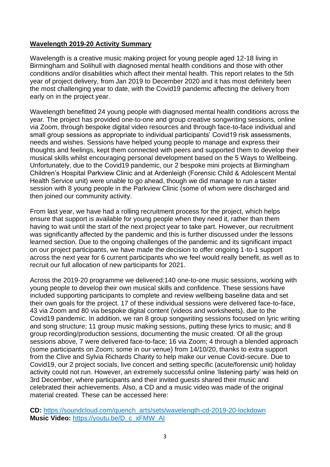## **Wavelength 2019-20 Activity Summary**

Wavelength is a creative music making project for young people aged 12-18 living in Birmingham and Solihull with diagnosed mental health conditions and those with other conditions and/or disabilities which affect their mental health. This report relates to the 5th year of project delivery, from Jan 2019 to December 2020 and it has most definitely been the most challenging year to date, with the Covid19 pandemic affecting the delivery from early on in the project year.

Wavelength benefitted 24 young people with diagnosed mental health conditions across the year. The project has provided one-to-one and group creative songwriting sessions, online via Zoom, through bespoke digital video resources and through face-to-face individual and small group sessions as appropriate to individual participants' Covid19 risk assessments, needs and wishes. Sessions have helped young people to manage and express their thoughts and feelings, kept them connected with peers and supported them to develop their musical skills whilst encouraging personal development based on the 5 Ways to Wellbeing. Unfortunately, due to the Covid19 pandemic, our 2 bespoke mini projects at Birmingham Children's Hospital Parkview Clinic and at Ardenleigh (Forensic Child & Adolescent Mental Health Service unit) were unable to go ahead, though we did manage to run a taster session with 8 young people in the Parkview Clinic (some of whom were discharged and then joined our community activity.

From last year, we have had a rolling recruitment process for the project, which helps ensure that support is available for young people when they need it, rather than them having to wait until the start of the next project year to take part. However, our recruitment was significantly affected by the pandemic and this is further discussed under the lessons learned section. Due to the ongoing challenges of the pandemic and its significant impact on our project participants, we have made the decision to offer ongoing 1-to-1 support across the next year for 6 current participants who we feel would really benefit, as well as to recruit our full allocation of new participants for 2021.

Across the 2019-20 programme we delivered:140 one-to-one music sessions, working with young people to develop their own musical skills and confidence. These sessions have included supporting participants to complete and review wellbeing baseline data and set their own goals for the project. 17 of these individual sessions were delivered face-to-face, 43 via Zoom and 80 via bespoke digital content (videos and worksheets), due to the Covid19 pandemic. In addition, we ran 8 group songwriting sessions focused on lyric writing and song structure; 11 group music making sessions, putting these lyrics to music; and 8 group recording/production sessions, documenting the music created. Of all the group sessions above, 7 were delivered face-to-face; 16 via Zoom; 4 through a blended approach (some participants on Zoom; some in our venue) from 14/10/20, thanks to extra support from the Clive and Sylvia Richards Charity to help make our venue Covid-secure. Due to Covid19, our 2 project socials, live concert and setting specific (acute/forensic unit) holiday activity could not run. However, an extremely successful online 'listening party' was held on 3rd December, where participants and their invited guests shared their music and celebrated their achievements. Also, a CD and a music video was made of the original material created. These can be accessed here:

**CD:** [https://soundcloud.com/quench\\_arts/sets/wavelength-cd-2019-20-lockdown](https://soundcloud.com/quench_arts/sets/wavelength-cd-2019-20-lockdown) **Music Video:** [https://youtu.be/D\\_c\\_xFMW\\_AI](https://youtu.be/D_c_xFMW_AI)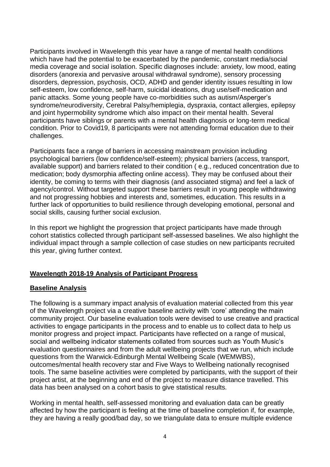Participants involved in Wavelength this year have a range of mental health conditions which have had the potential to be exacerbated by the pandemic, constant media/social media coverage and social isolation. Specific diagnoses include: anxiety, low mood, eating disorders (anorexia and pervasive arousal withdrawal syndrome), sensory processing disorders, depression, psychosis, OCD, ADHD and gender identity issues resulting in low self-esteem, low confidence, self-harm, suicidal ideations, drug use/self-medication and panic attacks. Some young people have co-morbidities such as autism/Asperger's syndrome/neurodiversity, Cerebral Palsy/hemiplegia, dyspraxia, contact allergies, epilepsy and joint hypermobility syndrome which also impact on their mental health. Several participants have siblings or parents with a mental health diagnosis or long-term medical condition. Prior to Covid19, 8 participants were not attending formal education due to their challenges.

Participants face a range of barriers in accessing mainstream provision including psychological barriers (low confidence/self-esteem); physical barriers (access, transport, available support) and barriers related to their condition ( e.g., reduced concentration due to medication; body dysmorphia affecting online access). They may be confused about their identity, be coming to terms with their diagnosis (and associated stigma) and feel a lack of agency/control. Without targeted support these barriers result in young people withdrawing and not progressing hobbies and interests and, sometimes, education. This results in a further lack of opportunities to build resilience through developing emotional, personal and social skills, causing further social exclusion.

In this report we highlight the progression that project participants have made through cohort statistics collected through participant self-assessed baselines. We also highlight the individual impact through a sample collection of case studies on new participants recruited this year, giving further context.

## **Wavelength 2018-19 Analysis of Participant Progress**

#### **Baseline Analysis**

The following is a summary impact analysis of evaluation material collected from this year of the Wavelength project via a creative baseline activity with 'core' attending the main community project. Our baseline evaluation tools were devised to use creative and practical activities to engage participants in the process and to enable us to collect data to help us monitor progress and project impact. Participants have reflected on a range of musical, social and wellbeing indicator statements collated from sources such as Youth Music's evaluation questionnaires and from the adult wellbeing projects that we run, which include questions from the Warwick-Edinburgh Mental Wellbeing Scale (WEMWBS), outcomes/mental health recovery star and Five Ways to Wellbeing nationally recognised tools. The same baseline activities were completed by participants, with the support of their project artist, at the beginning and end of the project to measure distance travelled. This data has been analysed on a cohort basis to give statistical results.

Working in mental health, self-assessed monitoring and evaluation data can be greatly affected by how the participant is feeling at the time of baseline completion if, for example, they are having a really good/bad day, so we triangulate data to ensure multiple evidence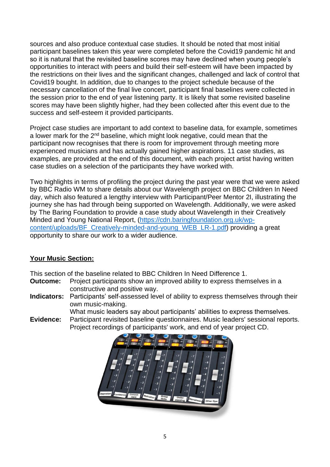sources and also produce contextual case studies. It should be noted that most initial participant baselines taken this year were completed before the Covid19 pandemic hit and so it is natural that the revisited baseline scores may have declined when young people's opportunities to interact with peers and build their self-esteem will have been impacted by the restrictions on their lives and the significant changes, challenged and lack of control that Covid19 bought. In addition, due to changes to the project schedule because of the necessary cancellation of the final live concert, participant final baselines were collected in the session prior to the end of year listening party. It is likely that some revisited baseline scores may have been slightly higher, had they been collected after this event due to the success and self-esteem it provided participants.

Project case studies are important to add context to baseline data, for example, sometimes a lower mark for the 2<sup>nd</sup> baseline, which might look negative, could mean that the participant now recognises that there is room for improvement through meeting more experienced musicians and has actually gained higher aspirations. 11 case studies, as examples, are provided at the end of this document, with each project artist having written case studies on a selection of the participants they have worked with.

Two highlights in terms of profiling the project during the past year were that we were asked by BBC Radio WM to share details about our Wavelength project on BBC Children In Need day, which also featured a lengthy interview with Participant/Peer Mentor 2I, illustrating the journey she has had through being supported on Wavelength. Additionally, we were asked by The Baring Foundation to provide a case study about Wavelength in their Creatively Minded and Young National Report, [\(https://cdn.baringfoundation.org.uk/wp](https://cdn.baringfoundation.org.uk/wp-content/uploads/BF_Creatively-minded-and-young_WEB_LR-1.pdf)[content/uploads/BF\\_Creatively-minded-and-young\\_WEB\\_LR-1.pdf\)](https://cdn.baringfoundation.org.uk/wp-content/uploads/BF_Creatively-minded-and-young_WEB_LR-1.pdf) providing a great opportunity to share our work to a wider audience.

## **Your Music Section:**

This section of the baseline related to BBC Children In Need Difference 1.

- **Outcome:** Project participants show an improved ability to express themselves in a constructive and positive way.
- **Indicators:** Participants' self-assessed level of ability to express themselves through their own music-making.

What music leaders say about participants' abilities to express themselves.

**Evidence:** Participant revisited baseline questionnaires. Music leaders' sessional reports. Project recordings of participants' work, and end of year project CD.

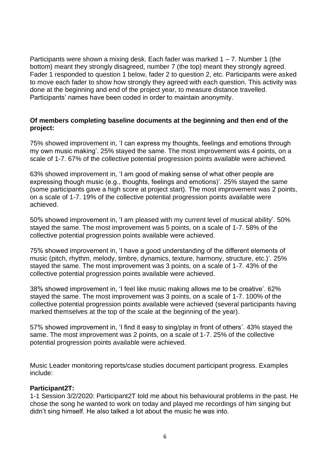Participants were shown a mixing desk. Each fader was marked  $1 - 7$ . Number 1 (the bottom) meant they strongly disagreed, number 7 (the top) meant they strongly agreed. Fader 1 responded to question 1 below, fader 2 to question 2, etc. Participants were asked to move each fader to show how strongly they agreed with each question. This activity was done at the beginning and end of the project year, to measure distance travelled. Participants' names have been coded in order to maintain anonymity.

#### **Of members completing baseline documents at the beginning and then end of the project:**

75% showed improvement in, 'I can express my thoughts, feelings and emotions through my own music making'. 25% stayed the same. The most improvement was 4 points, on a scale of 1-7. 67% of the collective potential progression points available were achieved.

63% showed improvement in, 'I am good of making sense of what other people are expressing though music (e.g., thoughts, feelings and emotions)'. 25% stayed the same (some participants gave a high score at project start). The most improvement was 2 points, on a scale of 1-7. 19% of the collective potential progression points available were achieved.

50% showed improvement in, 'I am pleased with my current level of musical ability'. 50% stayed the same. The most improvement was 5 points, on a scale of 1-7. 58% of the collective potential progression points available were achieved.

75% showed improvement in, 'I have a good understanding of the different elements of music (pitch, rhythm, melody, timbre, dynamics, texture, harmony, structure, etc.)'. 25% stayed the same. The most improvement was 3 points, on a scale of 1-7. 43% of the collective potential progression points available were achieved.

38% showed improvement in, 'I feel like music making allows me to be creative'. 62% stayed the same. The most improvement was 3 points, on a scale of 1-7. 100% of the collective potential progression points available were achieved (several participants having marked themselves at the top of the scale at the beginning of the year).

57% showed improvement in, 'I find it easy to sing/play in front of others'. 43% stayed the same. The most improvement was 2 points, on a scale of 1-7. 25% of the collective potential progression points available were achieved.

Music Leader monitoring reports/case studies document participant progress. Examples include:

#### **Participant2T:**

1-1 Session 3/2/2020: Participant2T told me about his behavioural problems in the past. He chose the song he wanted to work on today and played me recordings of him singing but didn't sing himself. He also talked a lot about the music he was into.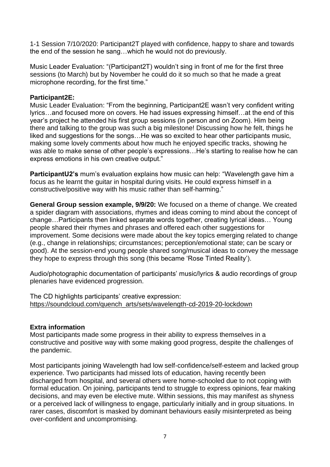1-1 Session 7/10/2020: Participant2T played with confidence, happy to share and towards the end of the session he sang…which he would not do previously.

Music Leader Evaluation: "(Participant2T) wouldn't sing in front of me for the first three sessions (to March) but by November he could do it so much so that he made a great microphone recording, for the first time."

#### **Participant2E:**

Music Leader Evaluation: "From the beginning, Participant2E wasn't very confident writing lyrics…and focused more on covers. He had issues expressing himself…at the end of this year's project he attended his first group sessions (in person and on Zoom). Him being there and talking to the group was such a big milestone! Discussing how he felt, things he liked and suggestions for the songs...He was so excited to hear other participants music, making some lovely comments about how much he enjoyed specific tracks, showing he was able to make sense of other people's expressions…He's starting to realise how he can express emotions in his own creative output."

**ParticipantU2's** mum's evaluation explains how music can help: "Wavelength gave him a focus as he learnt the guitar in hospital during visits. He could express himself in a constructive/positive way with his music rather than self-harming."

**General Group session example, 9/9/20:** We focused on a theme of change. We created a spider diagram with associations, rhymes and ideas coming to mind about the concept of change…Participants then linked separate words together, creating lyrical ideas… Young people shared their rhymes and phrases and offered each other suggestions for improvement. Some decisions were made about the key topics emerging related to change (e.g., change in relationships; circumstances; perception/emotional state; can be scary or good). At the session-end young people shared song/musical ideas to convey the message they hope to express through this song (this became 'Rose Tinted Reality').

Audio/photographic documentation of participants' music/lyrics & audio recordings of group plenaries have evidenced progression.

The CD highlights participants' creative expression: [https://soundcloud.com/quench\\_arts/sets/wavelength-cd-2019-20-lockdown](https://soundcloud.com/quench_arts/sets/wavelength-cd-2019-20-lockdown)

#### **Extra information**

Most participants made some progress in their ability to express themselves in a constructive and positive way with some making good progress, despite the challenges of the pandemic.

Most participants joining Wavelength had low self-confidence/self-esteem and lacked group experience. Two participants had missed lots of education, having recently been discharged from hospital, and several others were home-schooled due to not coping with formal education. On joining, participants tend to struggle to express opinions, fear making decisions, and may even be elective mute. Within sessions, this may manifest as shyness or a perceived lack of willingness to engage, particularly initially and in group situations. In rarer cases, discomfort is masked by dominant behaviours easily misinterpreted as being over-confident and uncompromising.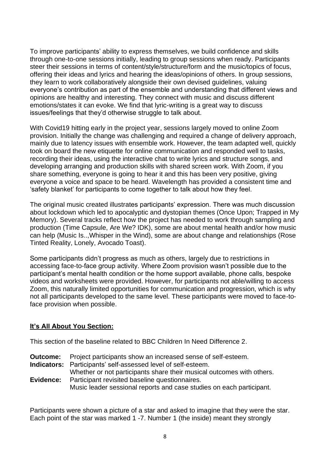To improve participants' ability to express themselves, we build confidence and skills through one-to-one sessions initially, leading to group sessions when ready. Participants steer their sessions in terms of content/style/structure/form and the music/topics of focus, offering their ideas and lyrics and hearing the ideas/opinions of others. In group sessions, they learn to work collaboratively alongside their own devised guidelines, valuing everyone's contribution as part of the ensemble and understanding that different views and opinions are healthy and interesting. They connect with music and discuss different emotions/states it can evoke. We find that lyric-writing is a great way to discuss issues/feelings that they'd otherwise struggle to talk about.

With Covid19 hitting early in the project year, sessions largely moved to online Zoom provision. Initially the change was challenging and required a change of delivery approach, mainly due to latency issues with ensemble work. However, the team adapted well, quickly took on board the new etiquette for online communication and responded well to tasks, recording their ideas, using the interactive chat to write lyrics and structure songs, and developing arranging and production skills with shared screen work. With Zoom, if you share something, everyone is going to hear it and this has been very positive, giving everyone a voice and space to be heard. Wavelength has provided a consistent time and 'safety blanket' for participants to come together to talk about how they feel.

The original music created illustrates participants' expression. There was much discussion about lockdown which led to apocalyptic and dystopian themes (Once Upon; Trapped in My Memory). Several tracks reflect how the project has needed to work through sampling and production (Time Capsule, Are We? IDK), some are about mental health and/or how music can help (Music Is..,Whisper in the Wind), some are about change and relationships (Rose Tinted Reality, Lonely, Avocado Toast).

Some participants didn't progress as much as others, largely due to restrictions in accessing face-to-face group activity. Where Zoom provision wasn't possible due to the participant's mental health condition or the home support available, phone calls, bespoke videos and worksheets were provided. However, for participants not able/willing to access Zoom, this naturally limited opportunities for communication and progression, which is why not all participants developed to the same level. These participants were moved to face-toface provision when possible.

#### **It's All About You Section:**

This section of the baseline related to BBC Children In Need Difference 2.

- **Outcome:** Project participants show an increased sense of self-esteem.
- **Indicators:** Participants' self-assessed level of self-esteem.

Whether or not participants share their musical outcomes with others. **Evidence:** Participant revisited baseline questionnaires.

Music leader sessional reports and case studies on each participant.

Participants were shown a picture of a star and asked to imagine that they were the star. Each point of the star was marked 1 -7. Number 1 (the inside) meant they strongly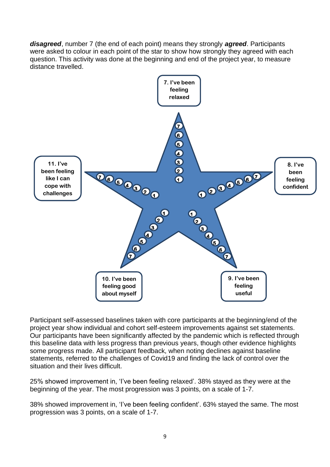*disagreed*, number 7 (the end of each point) means they strongly *agreed*. Participants were asked to colour in each point of the star to show how strongly they agreed with each question. This activity was done at the beginning and end of the project year, to measure distance travelled.



Participant self-assessed baselines taken with core participants at the beginning/end of the project year show individual and cohort self-esteem improvements against set statements. Our participants have been significantly affected by the pandemic which is reflected through this baseline data with less progress than previous years, though other evidence highlights some progress made. All participant feedback, when noting declines against baseline statements, referred to the challenges of Covid19 and finding the lack of control over the situation and their lives difficult.

25% showed improvement in, 'I've been feeling relaxed'. 38% stayed as they were at the beginning of the year. The most progression was 3 points, on a scale of 1-7.

38% showed improvement in, 'I've been feeling confident'. 63% stayed the same. The most progression was 3 points, on a scale of 1-7.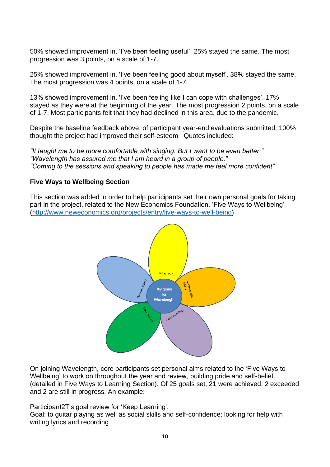50% showed improvement in, 'I've been feeling useful'. 25% stayed the same. The most progression was 3 points, on a scale of 1-7.

25% showed improvement in, 'I've been feeling good about myself'. 38% stayed the same. The most progression was 4 points, on a scale of 1-7.

13% showed improvement in, 'I've been feeling like I can cope with challenges'. 17% stayed as they were at the beginning of the year. The most progression 2 points, on a scale of 1-7. Most participants felt that they had declined in this area, due to the pandemic.

Despite the baseline feedback above, of participant year-end evaluations submitted, 100% thought the project had improved their self-esteem . Quotes included:

*"It taught me to be more comfortable with singing. But I want to be even better." "Wavelength has assured me that I am heard in a group of people." "Coming to the sessions and speaking to people has made me feel more confident"*

#### **Five Ways to Wellbeing Section**

This section was added in order to help participants set their own personal goals for taking part in the project, related to the New Economics Foundation, 'Five Ways to Wellbeing' [\(http://www.neweconomics.org/projects/entry/five-ways-to-well-being\)](http://www.neweconomics.org/projects/entry/five-ways-to-well-being)



On joining Wavelength, core participants set personal aims related to the 'Five Ways to Wellbeing' to work on throughout the year and review, building pride and self-belief (detailed in Five Ways to Learning Section). Of 25 goals set, 21 were achieved, 2 exceeded and 2 are still in progress. An example:

#### Participant2T's goal review for 'Keep Learning':

Goal: to guitar playing as well as social skills and self-confidence; looking for help with writing lyrics and recording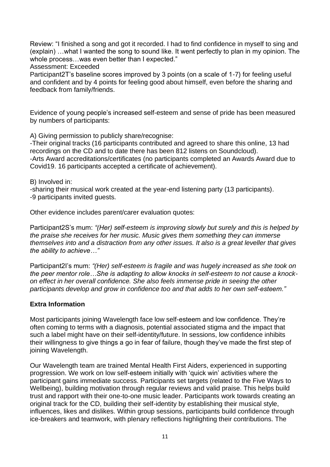Review: "I finished a song and got it recorded. I had to find confidence in myself to sing and (explain) …what I wanted the song to sound like. It went perfectly to plan in my opinion. The whole process...was even better than I expected."

Assessment: Exceeded

Participant2T's baseline scores improved by 3 points (on a scale of 1-7) for feeling useful and confident and by 4 points for feeling good about himself, even before the sharing and feedback from family/friends.

Evidence of young people's increased self-esteem and sense of pride has been measured by numbers of participants:

A) Giving permission to publicly share/recognise:

-Their original tracks (16 participants contributed and agreed to share this online, 13 had recordings on the CD and to date there has been 812 listens on Soundcloud). -Arts Award accreditations/certificates (no participants completed an Awards Award due to Covid19. 16 participants accepted a certificate of achievement).

B) Involved in:

-sharing their musical work created at the year-end listening party (13 participants). -9 participants invited guests.

Other evidence includes parent/carer evaluation quotes:

Participant2S's mum: *"(Her) self-esteem is improving slowly but surely and this is helped by the praise she receives for her music. Music gives them something they can immerse themselves into and a distraction from any other issues. It also is a great leveller that gives the ability to achieve…"*

Participant2I's mum: *"(Her) self-esteem is fragile and was hugely increased as she took on the peer mentor role…She is adapting to allow knocks in self-esteem to not cause a knockon effect in her overall confidence. She also feels immense pride in seeing the other participants develop and grow in confidence too and that adds to her own self-esteem."*

#### **Extra Information**

Most participants joining Wavelength face low self-esteem and low confidence. They're often coming to terms with a diagnosis, potential associated stigma and the impact that such a label might have on their self-identity/future. In sessions, low confidence inhibits their willingness to give things a go in fear of failure, though they've made the first step of joining Wavelength.

Our Wavelength team are trained Mental Health First Aiders, experienced in supporting progression. We work on low self-esteem initially with 'quick win' activities where the participant gains immediate success. Participants set targets (related to the Five Ways to Wellbeing), building motivation through regular reviews and valid praise. This helps build trust and rapport with their one-to-one music leader. Participants work towards creating an original track for the CD, building their self-identity by establishing their musical style, influences, likes and dislikes. Within group sessions, participants build confidence through ice-breakers and teamwork, with plenary reflections highlighting their contributions. The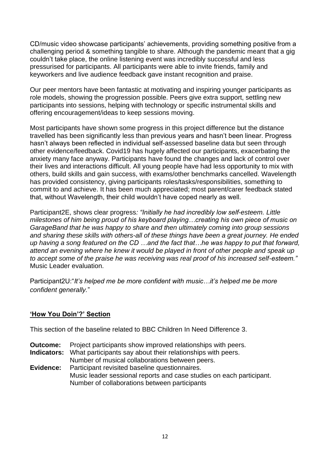CD/music video showcase participants' achievements, providing something positive from a challenging period & something tangible to share. Although the pandemic meant that a gig couldn't take place, the online listening event was incredibly successful and less pressurised for participants. All participants were able to invite friends, family and keyworkers and live audience feedback gave instant recognition and praise.

Our peer mentors have been fantastic at motivating and inspiring younger participants as role models, showing the progression possible. Peers give extra support, settling new participants into sessions, helping with technology or specific instrumental skills and offering encouragement/ideas to keep sessions moving.

Most participants have shown some progress in this project difference but the distance travelled has been significantly less than previous years and hasn't been linear. Progress hasn't always been reflected in individual self-assessed baseline data but seen through other evidence/feedback. Covid19 has hugely affected our participants, exacerbating the anxiety many face anyway. Participants have found the changes and lack of control over their lives and interactions difficult. All young people have had less opportunity to mix with others, build skills and gain success, with exams/other benchmarks cancelled. Wavelength has provided consistency, giving participants roles/tasks/responsibilities, something to commit to and achieve. It has been much appreciated; most parent/carer feedback stated that, without Wavelength, their child wouldn't have coped nearly as well.

Participant2E, shows clear progress*: "Initially he had incredibly low self-esteem. Little milestones of him being proud of his keyboard playing…creating his own piece of music on GarageBand that he was happy to share and then ultimately coming into group sessions and sharing these skills with others-all of these things have been a great journey. He ended up having a song featured on the CD …and the fact that…he was happy to put that forward, attend an evening where he knew it would be played in front of other people and speak up to accept some of the praise he was receiving was real proof of his increased self-esteem."* Music Leader evaluation.

Participant2U:"*It's helped me be more confident with music…it's helped me be more confident generally.*"

## **'How You Doin'?' Section**

This section of the baseline related to BBC Children In Need Difference 3.

- **Outcome:** Project participants show improved relationships with peers.
- **Indicators:** What participants say about their relationships with peers. Number of musical collaborations between peers.
- **Evidence:** Participant revisited baseline questionnaires. Music leader sessional reports and case studies on each participant. Number of collaborations between participants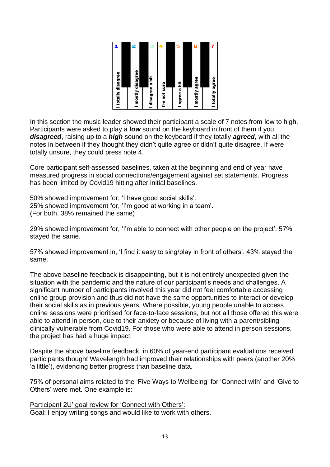| 2<br>э<br>9<br>I mostly disagree<br>I disagree a bit<br>I'm not sure | I totally disagree |
|----------------------------------------------------------------------|--------------------|
|                                                                      |                    |
|                                                                      |                    |
|                                                                      |                    |
|                                                                      |                    |
|                                                                      |                    |
|                                                                      |                    |
| 5<br>l agree a bit                                                   |                    |
|                                                                      |                    |
| 6<br>I mostly agree                                                  |                    |
|                                                                      |                    |
| I totally agree                                                      |                    |

In this section the music leader showed their participant a scale of 7 notes from low to high. Participants were asked to play a *low* sound on the keyboard in front of them if you *disagreed*, raising up to a *high* sound on the keyboard if they totally *agreed*, with all the notes in between if they thought they didn't quite agree or didn't quite disagree. If were totally unsure, they could press note 4.

Core participant self-assessed baselines, taken at the beginning and end of year have measured progress in social connections/engagement against set statements. Progress has been limited by Covid19 hitting after initial baselines.

50% showed improvement for, 'I have good social skills'. 25% showed improvement for, 'I'm good at working in a team'. (For both, 38% remained the same)

29% showed improvement for, 'I'm able to connect with other people on the project'. 57% stayed the same.

57% showed improvement in, 'I find it easy to sing/play in front of others'. 43% stayed the same.

The above baseline feedback is disappointing, but it is not entirely unexpected given the situation with the pandemic and the nature of our participant's needs and challenges. A significant number of participants involved this year did not feel comfortable accessing online group provision and thus did not have the same opportunities to interact or develop their social skills as in previous years. Where possible, young people unable to access online sessions were prioritised for face-to-face sessions, but not all those offered this were able to attend in person, due to their anxiety or because of living with a parent/sibling clinically vulnerable from Covid19. For those who were able to attend in person sessions, the project has had a huge impact.

Despite the above baseline feedback, in 60% of year-end participant evaluations received participants thought Wavelength had improved their relationships with peers (another 20% 'a little'), evidencing better progress than baseline data.

75% of personal aims related to the 'Five Ways to Wellbeing' for 'Connect with' and 'Give to Others' were met. One example is:

Participant 2U' goal review for 'Connect with Others': Goal: I enjoy writing songs and would like to work with others.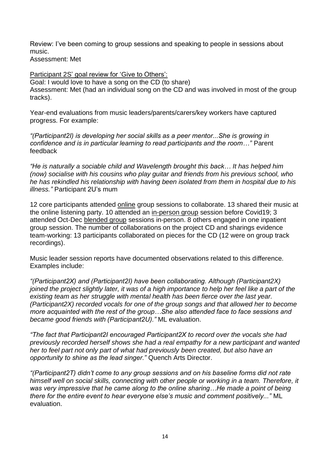Review: I've been coming to group sessions and speaking to people in sessions about music.

Assessment: Met

Participant 2S' goal review for 'Give to Others': Goal: I would love to have a song on the CD (to share) Assessment: Met (had an individual song on the CD and was involved in most of the group tracks).

Year-end evaluations from music leaders/parents/carers/key workers have captured progress. For example:

*"(Participant2I) is developing her social skills as a peer mentor...She is growing in confidence and is in particular learning to read participants and the room…"* Parent feedback

*"He is naturally a sociable child and Wavelength brought this back… It has helped him (now) socialise with his cousins who play guitar and friends from his previous school, who he has rekindled his relationship with having been isolated from them in hospital due to his illness."* Participant 2U's mum

12 core participants attended online group sessions to collaborate. 13 shared their music at the online listening party. 10 attended an in-person group session before Covid19; 3 attended Oct-Dec blended group sessions in-person. 8 others engaged in one inpatient group session. The number of collaborations on the project CD and sharings evidence team-working: 13 participants collaborated on pieces for the CD (12 were on group track recordings).

Music leader session reports have documented observations related to this difference. Examples include:

*"(Participant2X) and (Participant2I) have been collaborating. Although (Participant2X) joined the project slightly later, it was of a high importance to help her feel like a part of the existing team as her struggle with mental health has been fierce over the last year. (Participant2X) recorded vocals for one of the group songs and that allowed her to become more acquainted with the rest of the group…She also attended face to face sessions and became good friends with (Participant2U)."* ML evaluation.

*"The fact that Participant2I encouraged Participant2X to record over the vocals she had previously recorded herself shows she had a real empathy for a new participant and wanted her to feel part not only part of what had previously been created, but also have an opportunity to shine as the lead singer."* Quench Arts Director.

*"(Participant2T) didn't come to any group sessions and on his baseline forms did not rate himself well on social skills, connecting with other people or working in a team. Therefore, it was very impressive that he came along to the online sharing…He made a point of being there for the entire event to hear everyone else's music and comment positively..."* ML evaluation.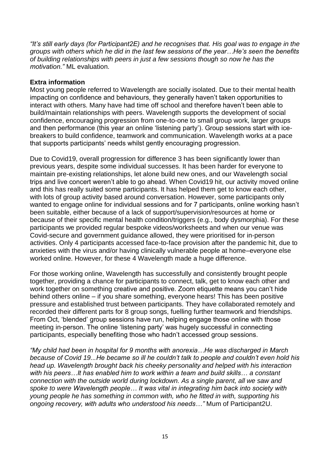*"It's still early days (for Participant2E) and he recognises that. His goal was to engage in the groups with others which he did in the last few sessions of the year…He's seen the benefits of building relationships with peers in just a few sessions though so now he has the motivation."* ML evaluation.

#### **Extra information**

Most young people referred to Wavelength are socially isolated. Due to their mental health impacting on confidence and behaviours, they generally haven't taken opportunities to interact with others. Many have had time off school and therefore haven't been able to build/maintain relationships with peers. Wavelength supports the development of social confidence, encouraging progression from one-to-one to small group work, larger groups and then performance (this year an online 'listening party'). Group sessions start with icebreakers to build confidence, teamwork and communication. Wavelength works at a pace that supports participants' needs whilst gently encouraging progression.

Due to Covid19, overall progression for difference 3 has been significantly lower than previous years, despite some individual successes. It has been harder for everyone to maintain pre-existing relationships, let alone build new ones, and our Wavelength social trips and live concert weren't able to go ahead. When Covid19 hit, our activity moved online and this has really suited some participants. It has helped them get to know each other, with lots of group activity based around conversation. However, some participants only wanted to engage online for individual sessions and for 7 participants, online working hasn't been suitable, either because of a lack of support/supervision/resources at home or because of their specific mental health condition/triggers (e.g., body dysmorphia). For these participants we provided regular bespoke videos/worksheets and when our venue was Covid-secure and government guidance allowed, they were prioritised for in-person activities. Only 4 participants accessed face-to-face provision after the pandemic hit, due to anxieties with the virus and/or having clinically vulnerable people at home–everyone else worked online. However, for these 4 Wavelength made a huge difference.

For those working online, Wavelength has successfully and consistently brought people together, providing a chance for participants to connect, talk, get to know each other and work together on something creative and positive. Zoom etiquette means you can't hide behind others online – if you share something, everyone hears! This has been positive pressure and established trust between participants. They have collaborated remotely and recorded their different parts for 8 group songs, fuelling further teamwork and friendships. From Oct, 'blended' group sessions have run, helping engage those online with those meeting in-person. The online 'listening party' was hugely successful in connecting participants, especially benefiting those who hadn't accessed group sessions.

*"My child had been in hospital for 9 months with anorexia…He was discharged in March because of Covid 19...He became so ill he couldn't talk to people and couldn't even hold his head up. Wavelength brought back his cheeky personality and helped with his interaction with his peers…It has enabled him to work within a team and build skills… a constant connection with the outside world during lockdown. As a single parent, all we saw and spoke to were Wavelength people… It was vital in integrating him back into society with young people he has something in common with, who he fitted in with, supporting his ongoing recovery, with adults who understood his needs…"* Mum of Participant2U.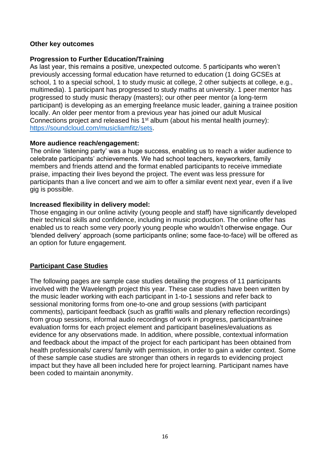#### **Other key outcomes**

#### **Progression to Further Education/Training**

As last year, this remains a positive, unexpected outcome. 5 participants who weren't previously accessing formal education have returned to education (1 doing GCSEs at school, 1 to a special school, 1 to study music at college, 2 other subjects at college, e.g., multimedia). 1 participant has progressed to study maths at university. 1 peer mentor has progressed to study music therapy (masters); our other peer mentor (a long-term participant) is developing as an emerging freelance music leader, gaining a trainee position locally. An older peer mentor from a previous year has joined our adult Musical Connections project and released his 1<sup>st</sup> album (about his mental health journey): [https://soundcloud.com/musicliamfitz/sets.](https://soundcloud.com/musicliamfitz/sets)

#### **More audience reach/engagement:**

The online 'listening party' was a huge success, enabling us to reach a wider audience to celebrate participants' achievements. We had school teachers, keyworkers, family members and friends attend and the format enabled participants to receive immediate praise, impacting their lives beyond the project. The event was less pressure for participants than a live concert and we aim to offer a similar event next year, even if a live gig is possible.

#### **Increased flexibility in delivery model:**

Those engaging in our online activity (young people and staff) have significantly developed their technical skills and confidence, including in music production. The online offer has enabled us to reach some very poorly young people who wouldn't otherwise engage. Our 'blended delivery' approach (some participants online; some face-to-face) will be offered as an option for future engagement.

## **Participant Case Studies**

The following pages are sample case studies detailing the progress of 11 participants involved with the Wavelength project this year. These case studies have been written by the music leader working with each participant in 1-to-1 sessions and refer back to sessional monitoring forms from one-to-one and group sessions (with participant comments), participant feedback (such as graffiti walls and plenary reflection recordings) from group sessions, informal audio recordings of work in progress, participant/trainee evaluation forms for each project element and participant baselines/evaluations as evidence for any observations made. In addition, where possible, contextual information and feedback about the impact of the project for each participant has been obtained from health professionals/ carers/ family with permission, in order to gain a wider context. Some of these sample case studies are stronger than others in regards to evidencing project impact but they have all been included here for project learning. Participant names have been coded to maintain anonymity.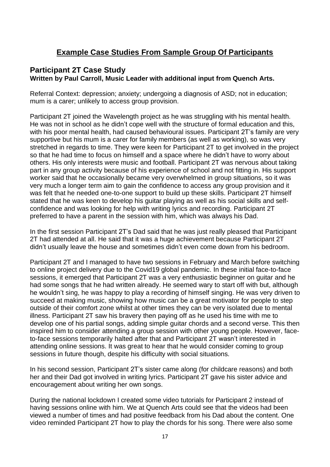# **Example Case Studies From Sample Group Of Participants**

# **Participant 2T Case Study Written by Paul Carroll, Music Leader with additional input from Quench Arts.**

Referral Context: depression; anxiety; undergoing a diagnosis of ASD; not in education; mum is a carer; unlikely to access group provision.

Participant 2T joined the Wavelength project as he was struggling with his mental health. He was not in school as he didn't cope well with the structure of formal education and this, with his poor mental health, had caused behavioural issues. Participant 2T's family are very supportive but his mum is a carer for family members (as well as working), so was very stretched in regards to time. They were keen for Participant 2T to get involved in the project so that he had time to focus on himself and a space where he didn't have to worry about others. His only interests were music and football. Participant 2T was nervous about taking part in any group activity because of his experience of school and not fitting in. His support worker said that he occasionally became very overwhelmed in group situations, so it was very much a longer term aim to gain the confidence to access any group provision and it was felt that he needed one-to-one support to build up these skills. Participant 2T himself stated that he was keen to develop his guitar playing as well as his social skills and selfconfidence and was looking for help with writing lyrics and recording. Participant 2T preferred to have a parent in the session with him, which was always his Dad.

In the first session Participant 2T's Dad said that he was just really pleased that Participant 2T had attended at all. He said that it was a huge achievement because Participant 2T didn't usually leave the house and sometimes didn't even come down from his bedroom.

Participant 2T and I managed to have two sessions in February and March before switching to online project delivery due to the Covid19 global pandemic. In these initial face-to-face sessions, it emerged that Participant 2T was a very enthusiastic beginner on guitar and he had some songs that he had written already. He seemed wary to start off with but, although he wouldn't sing, he was happy to play a recording of himself singing. He was very driven to succeed at making music, showing how music can be a great motivator for people to step outside of their comfort zone whilst at other times they can be very isolated due to mental illness. Participant 2T saw his bravery then paying off as he used his time with me to develop one of his partial songs, adding simple guitar chords and a second verse. This then inspired him to consider attending a group session with other young people. However, faceto-face sessions temporarily halted after that and Participant 2T wasn't interested in attending online sessions. It was great to hear that he would consider coming to group sessions in future though, despite his difficulty with social situations.

In his second session, Participant 2T's sister came along (for childcare reasons) and both her and their Dad got involved in writing lyrics. Participant 2T gave his sister advice and encouragement about writing her own songs.

During the national lockdown I created some video tutorials for Participant 2 instead of having sessions online with him. We at Quench Arts could see that the videos had been viewed a number of times and had positive feedback from his Dad about the content. One video reminded Participant 2T how to play the chords for his song. There were also some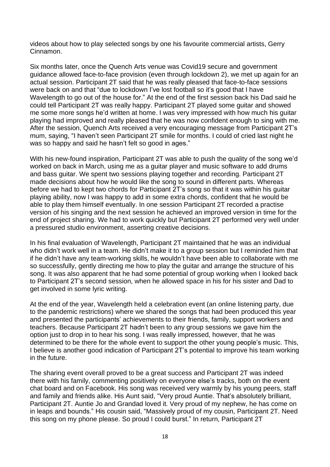videos about how to play selected songs by one his favourite commercial artists, Gerry Cinnamon.

Six months later, once the Quench Arts venue was Covid19 secure and government guidance allowed face-to-face provision (even through lockdown 2), we met up again for an actual session. Participant 2T said that he was really pleased that face-to-face sessions were back on and that "due to lockdown I've lost football so it's good that I have Wavelength to go out of the house for." At the end of the first session back his Dad said he could tell Participant 2T was really happy. Participant 2T played some guitar and showed me some more songs he'd written at home. I was very impressed with how much his guitar playing had improved and really pleased that he was now confident enough to sing with me. After the session, Quench Arts received a very encouraging message from Participant 2T's mum, saying, "I haven't seen Participant 2T smile for months. I could of cried last night he was so happy and said he hasn't felt so good in ages."

With his new-found inspiration, Participant 2T was able to push the quality of the song we'd worked on back in March, using me as a guitar player and music software to add drums and bass guitar. We spent two sessions playing together and recording. Participant 2T made decisions about how he would like the song to sound in different parts. Whereas before we had to kept two chords for Participant 2T's song so that it was within his guitar playing ability, now I was happy to add in some extra chords, confident that he would be able to play them himself eventually. In one session Participant 2T recorded a practise version of his singing and the next session he achieved an improved version in time for the end of project sharing. We had to work quickly but Participant 2T performed very well under a pressured studio environment, asserting creative decisions.

In his final evaluation of Wavelength, Participant 2T maintained that he was an individual who didn't work well in a team. He didn't make it to a group session but I reminded him that if he didn't have any team-working skills, he wouldn't have been able to collaborate with me so successfully, gently directing me how to play the guitar and arrange the structure of his song. It was also apparent that he had some potential of group working when I looked back to Participant 2T's second session, when he allowed space in his for his sister and Dad to get involved in some lyric writing.

At the end of the year, Wavelength held a celebration event (an online listening party, due to the pandemic restrictions) where we shared the songs that had been produced this year and presented the participants' achievements to their friends, family, support workers and teachers. Because Participant 2T hadn't been to any group sessions we gave him the option just to drop in to hear his song. I was really impressed, however, that he was determined to be there for the whole event to support the other young people's music. This, I believe is another good indication of Participant 2T's potential to improve his team working in the future.

The sharing event overall proved to be a great success and Participant 2T was indeed there with his family, commenting positively on everyone else's tracks, both on the event chat board and on Facebook. His song was received very warmly by his young peers, staff and family and friends alike. His Aunt said, "Very proud Auntie. That's absolutely brilliant, Participant 2T. Auntie Jo and Grandad loved it. Very proud of my nephew, he has come on in leaps and bounds." His cousin said, "Massively proud of my cousin, Participant 2T. Need this song on my phone please. So proud I could burst." In return, Participant 2T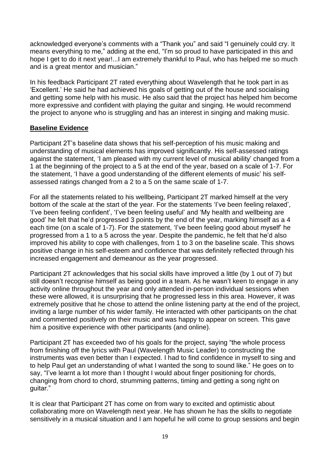acknowledged everyone's comments with a "Thank you" and said "I genuinely could cry. It means everything to me," adding at the end, "I'm so proud to have participated in this and hope I get to do it next year!...I am extremely thankful to Paul, who has helped me so much and is a great mentor and musician."

In his feedback Participant 2T rated everything about Wavelength that he took part in as 'Excellent.' He said he had achieved his goals of getting out of the house and socialising and getting some help with his music. He also said that the project has helped him become more expressive and confident with playing the guitar and singing. He would recommend the project to anyone who is struggling and has an interest in singing and making music.

## **Baseline Evidence**

Participant 2T's baseline data shows that his self-perception of his music making and understanding of musical elements has improved significantly. His self-assessed ratings against the statement, 'I am pleased with my current level of musical ability' changed from a 1 at the beginning of the project to a 5 at the end of the year, based on a scale of 1-7. For the statement, 'I have a good understanding of the different elements of music' his selfassessed ratings changed from a 2 to a 5 on the same scale of 1-7.

For all the statements related to his wellbeing, Participant 2T marked himself at the very bottom of the scale at the start of the year. For the statements 'I've been feeling relaxed', 'I've been feeling confident', 'I've been feeling useful' and 'My health and wellbeing are good' he felt that he'd progressed 3 points by the end of the year, marking himself as a 4 each time (on a scale of 1-7). For the statement, 'I've been feeling good about myself' he progressed from a 1 to a 5 across the year. Despite the pandemic, he felt that he'd also improved his ability to cope with challenges, from 1 to 3 on the baseline scale. This shows positive change in his self-esteem and confidence that was definitely reflected through his increased engagement and demeanour as the year progressed.

Participant 2T acknowledges that his social skills have improved a little (by 1 out of 7) but still doesn't recognise himself as being good in a team. As he wasn't keen to engage in any activity online throughout the year and only attended in-person individual sessions when these were allowed, it is unsurprising that he progressed less in this area. However, it was extremely positive that he chose to attend the online listening party at the end of the project, inviting a large number of his wider family. He interacted with other participants on the chat and commented positively on their music and was happy to appear on screen. This gave him a positive experience with other participants (and online).

Participant 2T has exceeded two of his goals for the project, saying "the whole process from finishing off the lyrics with Paul (Wavelength Music Leader) to constructing the instruments was even better than I expected. I had to find confidence in myself to sing and to help Paul get an understanding of what I wanted the song to sound like." He goes on to say, "I've learnt a lot more than I thought I would about finger positioning for chords, changing from chord to chord, strumming patterns, timing and getting a song right on guitar."

It is clear that Participant 2T has come on from wary to excited and optimistic about collaborating more on Wavelength next year. He has shown he has the skills to negotiate sensitively in a musical situation and I am hopeful he will come to group sessions and begin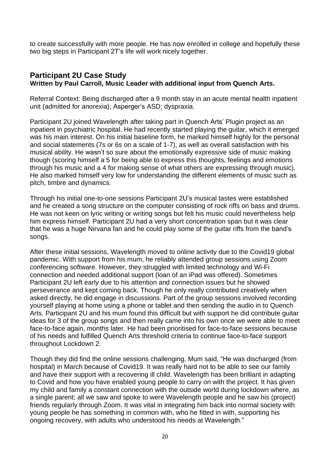to create successfully with more people. He has now enrolled in college and hopefully these two big steps in Participant 2T's life will work nicely together.

# **Participant 2U Case Study Written by Paul Carroll, Music Leader with additional input from Quench Arts.**

Referral Context: Being discharged after a 9 month stay in an acute mental health inpatient unit (admitted for anorexia); Asperger's ASD; dyspraxia.

Participant 2U joined Wavelength after taking part in Quench Arts' Plugin project as an inpatient in psychiatric hospital. He had recently started playing the guitar, which it emerged was his main interest. On his initial baseline form, he marked himself highly for the personal and social statements (7s or 6s on a scale of 1-7), as well as overall satisfaction with his musical ability. He wasn't so sure about the emotionally expressive side of music making though (scoring himself a 5 for being able to express this thoughts, feelings and emotions through his music and a 4 for making sense of what others are expressing through music). He also marked himself very low for understanding the different elements of music such as pitch, timbre and dynamics.

Through his initial one-to-one sessions Participant 2U's musical tastes were established and he created a song structure on the computer consisting of rock riffs on bass and drums. He was not keen on lyric writing or writing songs but felt his music could nevertheless help him express himself. Participant 2U had a very short concentration span but it was clear that he was a huge Nirvana fan and he could play some of the guitar riffs from the band's songs.

After these initial sessions, Wavelength moved to online activity due to the Covid19 global pandemic. With support from his mum, he reliably attended group sessions using Zoom conferencing software. However, they struggled with limited technology and Wi-Fi connection and needed additional support (loan of an iPad was offered). Sometimes Participant 2U left early due to his attention and connection issues but he showed perseverance and kept coming back. Though he only really contributed creatively when asked directly, he did engage in discussions. Part of the group sessions involved recording yourself playing at home using a phone or tablet and then sending the audio in to Quench Arts. Participant 2U and his mum found this difficult but with support he did contribute guitar ideas for 3 of the group songs and then really came into his own once we were able to meet face-to-face again, months later. He had been prioritised for face-to-face sessions because of his needs and fulfilled Quench Arts threshold criteria to continue face-to-face support throughout Lockdown 2.

Though they did find the online sessions challenging, Mum said, "He was discharged (from hospital) in March because of Covid19. It was really hard not to be able to see our family and have their support with a recovering ill child. Wavelength has been brilliant in adapting to Covid and how you have enabled young people to carry on with the project. It has given my child and family a constant connection with the outside world during lockdown where, as a single parent; all we saw and spoke to were Wavelength people and he saw his (project) friends regularly through Zoom. It was vital in integrating him back into normal society with young people he has something in common with, who he fitted in with, supporting his ongoing recovery, with adults who understood his needs at Wavelength."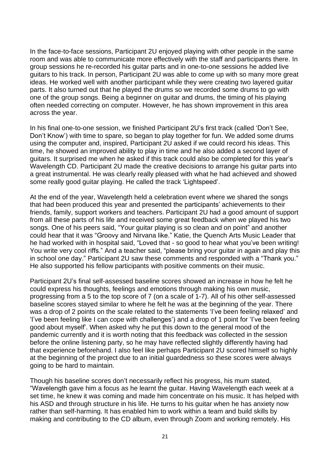In the face-to-face sessions, Participant 2U enjoyed playing with other people in the same room and was able to communicate more effectively with the staff and participants there. In group sessions he re-recorded his guitar parts and in one-to-one sessions he added live guitars to his track. In person, Participant 2U was able to come up with so many more great ideas. He worked well with another participant while they were creating two layered guitar parts. It also turned out that he played the drums so we recorded some drums to go with one of the group songs. Being a beginner on guitar and drums, the timing of his playing often needed correcting on computer. However, he has shown improvement in this area across the year.

In his final one-to-one session, we finished Participant 2U's first track (called 'Don't See, Don't Know') with time to spare, so began to play together for fun. We added some drums using the computer and, inspired, Participant 2U asked if we could record his ideas. This time, he showed an improved ability to play in time and he also added a second layer of guitars. It surprised me when he asked if this track could also be completed for this year's Wavelength CD. Participant 2U made the creative decisions to arrange his guitar parts into a great instrumental. He was clearly really pleased with what he had achieved and showed some really good guitar playing. He called the track 'Lightspeed'.

At the end of the year, Wavelength held a celebration event where we shared the songs that had been produced this year and presented the participants' achievements to their friends, family, support workers and teachers. Participant 2U had a good amount of support from all these parts of his life and received some great feedback when we played his two songs. One of his peers said, "Your guitar playing is so clean and on point" and another could hear that it was "Groovy and Nirvana like." Katie, the Quench Arts Music Leader that he had worked with in hospital said, "Loved that - so good to hear what you've been writing! You write very cool riffs." And a teacher said, "please bring your guitar in again and play this in school one day." Participant 2U saw these comments and responded with a "Thank you." He also supported his fellow participants with positive comments on their music.

Participant 2U's final self-assessed baseline scores showed an increase in how he felt he could express his thoughts, feelings and emotions through making his own music, progressing from a 5 to the top score of 7 (on a scale of 1-7). All of his other self-assessed baseline scores stayed similar to where he felt he was at the beginning of the year. There was a drop of 2 points on the scale related to the statements 'I've been feeling relaxed' and 'I've been feeling like I can cope with challenges') and a drop of 1 point for 'I've been feeling good about myself'. When asked why he put this down to the general mood of the pandemic currently and it is worth noting that this feedback was collected in the session before the online listening party, so he may have reflected slightly differently having had that experience beforehand. I also feel like perhaps Participant 2U scored himself so highly at the beginning of the project due to an initial guardedness so these scores were always going to be hard to maintain.

Though his baseline scores don't necessarily reflect his progress, his mum stated, "Wavelength gave him a focus as he learnt the guitar. Having Wavelength each week at a set time, he knew it was coming and made him concentrate on his music. It has helped with his ASD and through structure in his life. He turns to his guitar when he has anxiety now rather than self-harming. It has enabled him to work within a team and build skills by making and contributing to the CD album, even through Zoom and working remotely. His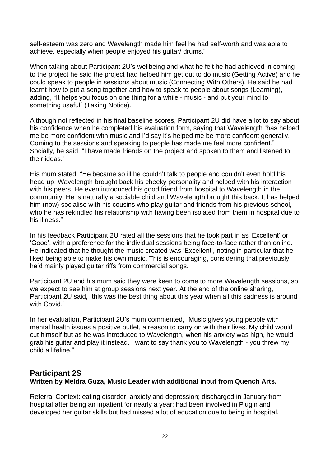self-esteem was zero and Wavelength made him feel he had self-worth and was able to achieve, especially when people enjoyed his guitar/ drums."

When talking about Participant 2U's wellbeing and what he felt he had achieved in coming to the project he said the project had helped him get out to do music (Getting Active) and he could speak to people in sessions about music (Connecting With Others). He said he had learnt how to put a song together and how to speak to people about songs (Learning). adding, "It helps you focus on one thing for a while - music - and put your mind to something useful" (Taking Notice).

Although not reflected in his final baseline scores, Participant 2U did have a lot to say about his confidence when he completed his evaluation form, saying that Wavelength "has helped me be more confident with music and I'd say it's helped me be more confident generally. Coming to the sessions and speaking to people has made me feel more confident." Socially, he said, "I have made friends on the project and spoken to them and listened to their ideas."

His mum stated, "He became so ill he couldn't talk to people and couldn't even hold his head up. Wavelength brought back his cheeky personality and helped with his interaction with his peers. He even introduced his good friend from hospital to Wavelength in the community. He is naturally a sociable child and Wavelength brought this back. It has helped him (now) socialise with his cousins who play guitar and friends from his previous school, who he has rekindled his relationship with having been isolated from them in hospital due to his illness."

In his feedback Participant 2U rated all the sessions that he took part in as 'Excellent' or 'Good', with a preference for the individual sessions being face-to-face rather than online. He indicated that he thought the music created was 'Excellent', noting in particular that he liked being able to make his own music. This is encouraging, considering that previously he'd mainly played guitar riffs from commercial songs.

Participant 2U and his mum said they were keen to come to more Wavelength sessions, so we expect to see him at group sessions next year. At the end of the online sharing, Participant 2U said, "this was the best thing about this year when all this sadness is around with Covid."

In her evaluation, Participant 2U's mum commented, "Music gives young people with mental health issues a positive outlet, a reason to carry on with their lives. My child would cut himself but as he was introduced to Wavelength, when his anxiety was high, he would grab his guitar and play it instead. I want to say thank you to Wavelength - you threw my child a lifeline."

# **Participant 2S Written by Meldra Guza, Music Leader with additional input from Quench Arts.**

Referral Context: eating disorder, anxiety and depression; discharged in January from hospital after being an inpatient for nearly a year; had been involved in Plugin and developed her guitar skills but had missed a lot of education due to being in hospital.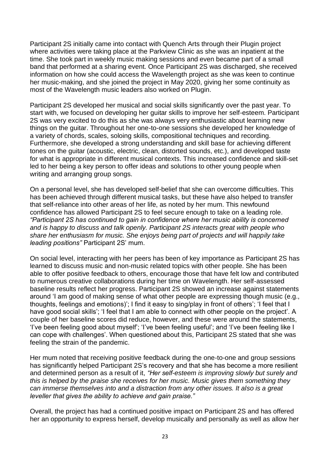Participant 2S initially came into contact with Quench Arts through their Plugin project where activities were taking place at the Parkview Clinic as she was an inpatient at the time. She took part in weekly music making sessions and even became part of a small band that performed at a sharing event. Once Participant 2S was discharged, she received information on how she could access the Wavelength project as she was keen to continue her music-making, and she joined the project in May 2020, giving her some continuity as most of the Wavelength music leaders also worked on Plugin.

Participant 2S developed her musical and social skills significantly over the past year. To start with, we focused on developing her guitar skills to improve her self-esteem. Participant 2S was very excited to do this as she was always very enthusiastic about learning new things on the guitar. Throughout her one-to-one sessions she developed her knowledge of a variety of chords, scales, soloing skills, compositional techniques and recording. Furthermore, she developed a strong understanding and skill base for achieving different tones on the guitar (acoustic, electric, clean, distorted sounds, etc.), and developed taste for what is appropriate in different musical contexts. This increased confidence and skill-set led to her being a key person to offer ideas and solutions to other young people when writing and arranging group songs.

On a personal level, she has developed self-belief that she can overcome difficulties. This has been achieved through different musical tasks, but these have also helped to transfer that self-reliance into other areas of her life, as noted by her mum. This newfound confidence has allowed Participant 2S to feel secure enough to take on a leading role. *"Participant 2S has continued to gain in confidence where her music ability is concerned and is happy to discuss and talk openly. Participant 2S interacts great with people who share her enthusiasm for music. She enjoys being part of projects and will happily take leading positions"* Participant 2S' mum.

On social level, interacting with her peers has been of key importance as Participant 2S has learned to discuss music and non-music related topics with other people. She has been able to offer positive feedback to others, encourage those that have felt low and contributed to numerous creative collaborations during her time on Wavelength. Her self-assessed baseline results reflect her progress. Participant 2S showed an increase against statements around 'I am good of making sense of what other people are expressing though music (e.g., thoughts, feelings and emotions)'; I find it easy to sing/play in front of others'; 'I feel that I have good social skills'; 'I feel that I am able to connect with other people on the project'. A couple of her baseline scores did reduce, however, and these were around the statements, 'I've been feeling good about myself'; 'I've been feeling useful'; and 'I've been feeling like I can cope with challenges'. When questioned about this, Participant 2S stated that she was feeling the strain of the pandemic.

Her mum noted that receiving positive feedback during the one-to-one and group sessions has significantly helped Participant 2S's recovery and that she has become a more resilient and determined person as a result of it, *"Her self-esteem is improving slowly but surely and this is helped by the praise she receives for her music. Music gives them something they can immerse themselves into and a distraction from any other issues. It also is a great leveller that gives the ability to achieve and gain praise."*

Overall, the project has had a continued positive impact on Participant 2S and has offered her an opportunity to express herself, develop musically and personally as well as allow her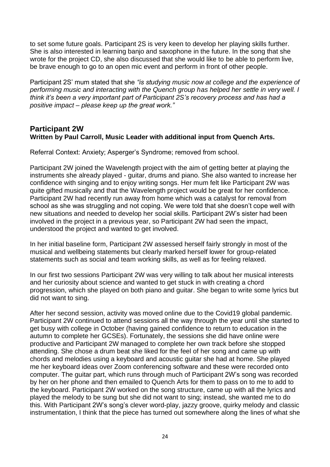to set some future goals. Participant 2S is very keen to develop her playing skills further. She is also interested in learning banjo and saxophone in the future. In the song that she wrote for the project CD, she also discussed that she would like to be able to perform live, be brave enough to go to an open mic event and perform in front of other people.

Participant 2S' mum stated that she *"is studying music now at college and the experience of performing music and interacting with the Quench group has helped her settle in very well. I think it's been a very important part of Participant 2S's recovery process and has had a positive impact – please keep up the great work."*

## **Participant 2W Written by Paul Carroll, Music Leader with additional input from Quench Arts.**

Referral Context: Anxiety; Asperger's Syndrome; removed from school.

Participant 2W joined the Wavelength project with the aim of getting better at playing the instruments she already played - guitar, drums and piano. She also wanted to increase her confidence with singing and to enjoy writing songs. Her mum felt like Participant 2W was quite gifted musically and that the Wavelength project would be great for her confidence. Participant 2W had recently run away from home which was a catalyst for removal from school as she was struggling and not coping. We were told that she doesn't cope well with new situations and needed to develop her social skills. Participant 2W's sister had been involved in the project in a previous year, so Participant 2W had seen the impact, understood the project and wanted to get involved.

In her initial baseline form, Participant 2W assessed herself fairly strongly in most of the musical and wellbeing statements but clearly marked herself lower for group-related statements such as social and team working skills, as well as for feeling relaxed.

In our first two sessions Participant 2W was very willing to talk about her musical interests and her curiosity about science and wanted to get stuck in with creating a chord progression, which she played on both piano and guitar. She began to write some lyrics but did not want to sing.

After her second session, activity was moved online due to the Covid19 global pandemic. Participant 2W continued to attend sessions all the way through the year until she started to get busy with college in October (having gained confidence to return to education in the autumn to complete her GCSEs). Fortunately, the sessions she did have online were productive and Participant 2W managed to complete her own track before she stopped attending. She chose a drum beat she liked for the feel of her song and came up with chords and melodies using a keyboard and acoustic guitar she had at home. She played me her keyboard ideas over Zoom conferencing software and these were recorded onto computer. The guitar part, which runs through much of Participant 2W's song was recorded by her on her phone and then emailed to Quench Arts for them to pass on to me to add to the keyboard. Participant 2W worked on the song structure, came up with all the lyrics and played the melody to be sung but she did not want to sing; instead, she wanted me to do this. With Participant 2W's song's clever word-play, jazzy groove, quirky melody and classic instrumentation, I think that the piece has turned out somewhere along the lines of what she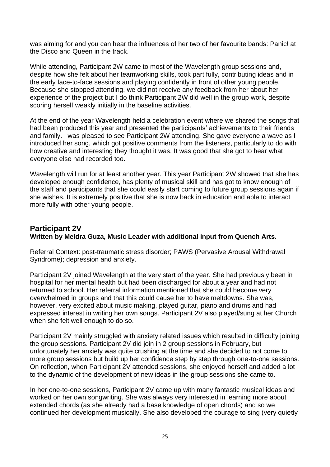was aiming for and you can hear the influences of her two of her favourite bands: Panic! at the Disco and Queen in the track.

While attending, Participant 2W came to most of the Wavelength group sessions and, despite how she felt about her teamworking skills, took part fully, contributing ideas and in the early face-to-face sessions and playing confidently in front of other young people. Because she stopped attending, we did not receive any feedback from her about her experience of the project but I do think Participant 2W did well in the group work, despite scoring herself weakly initially in the baseline activities.

At the end of the year Wavelength held a celebration event where we shared the songs that had been produced this year and presented the participants' achievements to their friends and family. I was pleased to see Participant 2W attending. She gave everyone a wave as I introduced her song, which got positive comments from the listeners, particularly to do with how creative and interesting they thought it was. It was good that she got to hear what everyone else had recorded too.

Wavelength will run for at least another year. This year Participant 2W showed that she has developed enough confidence, has plenty of musical skill and has got to know enough of the staff and participants that she could easily start coming to future group sessions again if she wishes. It is extremely positive that she is now back in education and able to interact more fully with other young people.

# **Participant 2V Written by Meldra Guza, Music Leader with additional input from Quench Arts.**

Referral Context: post-traumatic stress disorder; PAWS (Pervasive Arousal Withdrawal Syndrome); depression and anxiety.

Participant 2V joined Wavelength at the very start of the year. She had previously been in hospital for her mental health but had been discharged for about a year and had not returned to school. Her referral information mentioned that she could become very overwhelmed in groups and that this could cause her to have meltdowns. She was, however, very excited about music making, played guitar, piano and drums and had expressed interest in writing her own songs. Participant 2V also played/sung at her Church when she felt well enough to do so.

Participant 2V mainly struggled with anxiety related issues which resulted in difficulty joining the group sessions. Participant 2V did join in 2 group sessions in February, but unfortunately her anxiety was quite crushing at the time and she decided to not come to more group sessions but build up her confidence step by step through one-to-one sessions. On reflection, when Participant 2V attended sessions, she enjoyed herself and added a lot to the dynamic of the development of new ideas in the group sessions she came to.

In her one-to-one sessions, Participant 2V came up with many fantastic musical ideas and worked on her own songwriting. She was always very interested in learning more about extended chords (as she already had a base knowledge of open chords) and so we continued her development musically. She also developed the courage to sing (very quietly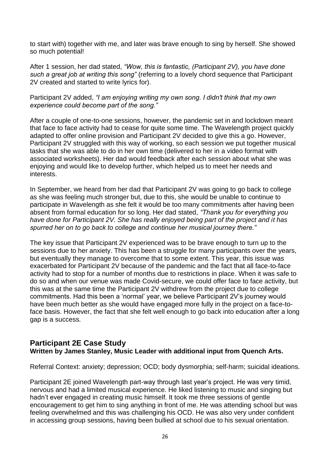to start with) together with me, and later was brave enough to sing by herself. She showed so much potential!

After 1 session, her dad stated, *"Wow, this is fantastic, (Participant 2V), you have done such a great job at writing this song"* (referring to a lovely chord sequence that Participant 2V created and started to write lyrics for).

Participant 2V added, *"I am enjoying writing my own song. I didn't think that my own experience could become part of the song."*

After a couple of one-to-one sessions, however, the pandemic set in and lockdown meant that face to face activity had to cease for quite some time. The Wavelength project quickly adapted to offer online provision and Participant 2V decided to give this a go. However, Participant 2V struggled with this way of working, so each session we put together musical tasks that she was able to do in her own time (delivered to her in a video format with associated worksheets). Her dad would feedback after each session about what she was enjoying and would like to develop further, which helped us to meet her needs and interests.

In September, we heard from her dad that Participant 2V was going to go back to college as she was feeling much stronger but, due to this, she would be unable to continue to participate in Wavelength as she felt it would be too many commitments after having been absent from formal education for so long. Her dad stated, *"Thank you for everything you have done for Participant 2V. She has really enjoyed being part of the project and it has spurred her on to go back to college and continue her musical journey there."*

The key issue that Participant 2V experienced was to be brave enough to turn up to the sessions due to her anxiety. This has been a struggle for many participants over the years, but eventually they manage to overcome that to some extent. This year, this issue was exacerbated for Participant 2V because of the pandemic and the fact that all face-to-face activity had to stop for a number of months due to restrictions in place. When it was safe to do so and when our venue was made Covid-secure, we could offer face to face activity, but this was at the same time the Participant 2V withdrew from the project due to college commitments. Had this been a 'normal' year, we believe Participant 2V's journey would have been much better as she would have engaged more fully in the project on a face-toface basis. However, the fact that she felt well enough to go back into education after a long gap is a success.

#### **Participant 2E Case Study Written by James Stanley, Music Leader with additional input from Quench Arts.**

Referral Context: anxiety; depression; OCD; body dysmorphia; self-harm; suicidal ideations.

Participant 2E joined Wavelength part-way through last year's project. He was very timid, nervous and had a limited musical experience. He liked listening to music and singing but hadn't ever engaged in creating music himself. It took me three sessions of gentle encouragement to get him to sing anything in front of me. He was attending school but was feeling overwhelmed and this was challenging his OCD. He was also very under confident in accessing group sessions, having been bullied at school due to his sexual orientation.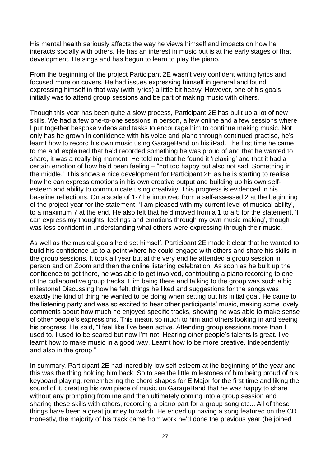His mental health seriously affects the way he views himself and impacts on how he interacts socially with others. He has an interest in music but is at the early stages of that development. He sings and has begun to learn to play the piano.

From the beginning of the project Participant 2E wasn't very confident writing lyrics and focused more on covers. He had issues expressing himself in general and found expressing himself in that way (with lyrics) a little bit heavy. However, one of his goals initially was to attend group sessions and be part of making music with others.

Though this year has been quite a slow process, Participant 2E has built up a lot of new skills. We had a few one-to-one sessions in person, a few online and a few sessions where I put together bespoke videos and tasks to encourage him to continue making music. Not only has he grown in confidence with his voice and piano through continued practise, he's learnt how to record his own music using GarageBand on his iPad. The first time he came to me and explained that he'd recorded something he was proud of and that he wanted to share, it was a really big moment! He told me that he found it 'relaxing' and that it had a certain emotion of how he'd been feeling – "not too happy but also not sad. Something in the middle." This shows a nice development for Participant 2E as he is starting to realise how he can express emotions in his own creative output and building up his own selfesteem and ability to communicate using creativity. This progress is evidenced in his baseline reflections. On a scale of 1-7 he improved from a self-assessed 2 at the beginning of the project year for the statement, 'I am pleased with my current level of musical ability', to a maximum 7 at the end. He also felt that he'd moved from a 1 to a 5 for the statement, 'I can express my thoughts, feelings and emotions through my own music making', though was less confident in understanding what others were expressing through their music.

As well as the musical goals he'd set himself, Participant 2E made it clear that he wanted to build his confidence up to a point where he could engage with others and share his skills in the group sessions. It took all year but at the very end he attended a group session in person and on Zoom and then the online listening celebration. As soon as he built up the confidence to get there, he was able to get involved, contributing a piano recording to one of the collaborative group tracks. Him being there and talking to the group was such a big milestone! Discussing how he felt, things he liked and suggestions for the songs was exactly the kind of thing he wanted to be doing when setting out his initial goal. He came to the listening party and was so excited to hear other participants' music, making some lovely comments about how much he enjoyed specific tracks, showing he was able to make sense of other people's expressions. This meant so much to him and others looking in and seeing his progress. He said, "I feel like I've been active. Attending group sessions more than I used to. I used to be scared but now I'm not. Hearing other people's talents is great. I've learnt how to make music in a good way. Learnt how to be more creative. Independently and also in the group."

In summary, Participant 2E had incredibly low self-esteem at the beginning of the year and this was the thing holding him back. So to see the little milestones of him being proud of his keyboard playing, remembering the chord shapes for E Major for the first time and liking the sound of it, creating his own piece of music on GarageBand that he was happy to share without any prompting from me and then ultimately coming into a group session and sharing these skills with others, recording a piano part for a group song etc... All of these things have been a great journey to watch. He ended up having a song featured on the CD. Honestly, the majority of his track came from work he'd done the previous year (he joined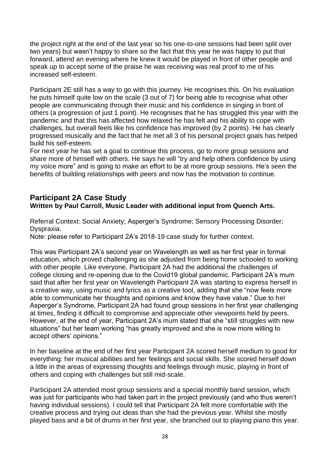the project right at the end of the last year so his one-to-one sessions had been split over two years) but wasn't happy to share so the fact that this year he was happy to put that forward, attend an evening where he knew it would be played in front of other people and speak up to accept some of the praise he was receiving was real proof to me of his increased self-esteem.

Participant 2E still has a way to go with this journey. He recognises this. On his evaluation he puts himself quite low on the scale (3 out of 7) for being able to recognise what other people are communicating through their music and his confidence in singing in front of others (a progression of just 1 point). He recognises that he has struggled this year with the pandemic and that this has affected how relaxed he has felt and his ability to cope with challenges, but overall feels like his confidence has improved (by 2 points). He has clearly progressed musically and the fact that he met all 3 of his personal project goals has helped build his self-esteem.

For next year he has set a goal to continue this process, go to more group sessions and share more of himself with others. He says he will "try and help others confidence by using my voice more" and is going to make an effort to be at more group sessions. He's seen the benefits of building relationships with peers and now has the motivation to continue.

# **Participant 2A Case Study Written by Paul Carroll, Music Leader with additional input from Quench Arts.**

Referral Context: Social Anxiety; Asperger's Syndrome; Sensory Processing Disorder; Dyspraxia.

Note: please refer to Participant 2A's 2018-19 case study for further context.

This was Participant 2A's second year on Wavelength as well as her first year in formal education, which proved challenging as she adjusted from being home schooled to working with other people. Like everyone, Participant 2A had the additional the challenges of college closing and re-opening due to the Covid19 global pandemic. Participant 2A's mum said that after her first year on Wavelength Participant 2A was starting to express herself in a creative way, using music and lyrics as a creative tool, adding that she "now feels more able to communicate her thoughts and opinions and know they have value." Due to her Asperger's Syndrome, Participant 2A had found group sessions in her first year challenging at times, finding it difficult to compromise and appreciate other viewpoints held by peers. However, at the end of year, Participant 2A's mum stated that she "still struggles with new situations" but her team working "has greatly improved and she is now more willing to accept others' opinions."

In her baseline at the end of her first year Participant 2A scored herself medium to good for everything: her musical abilities and her feelings and social skills. She scored herself down a little in the areas of expressing thoughts and feelings through music, playing in front of others and coping with challenges but still mid-scale.

Participant 2A attended most group sessions and a special monthly band session, which was just for participants who had taken part in the project previously (and who thus weren't having individual sessions). I could tell that Participant 2A felt more comfortable with the creative process and trying out ideas than she had the previous year. Whilst she mostly played bass and a bit of drums in her first year, she branched out to playing piano this year.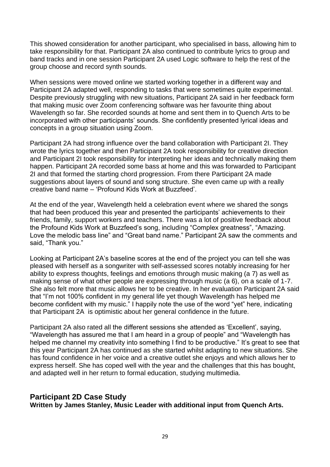This showed consideration for another participant, who specialised in bass, allowing him to take responsibility for that. Participant 2A also continued to contribute lyrics to group and band tracks and in one session Participant 2A used Logic software to help the rest of the group choose and record synth sounds.

When sessions were moved online we started working together in a different way and Participant 2A adapted well, responding to tasks that were sometimes quite experimental. Despite previously struggling with new situations, Participant 2A said in her feedback form that making music over Zoom conferencing software was her favourite thing about Wavelength so far. She recorded sounds at home and sent them in to Quench Arts to be incorporated with other participants' sounds. She confidently presented lyrical ideas and concepts in a group situation using Zoom.

Participant 2A had strong influence over the band collaboration with Participant 2I. They wrote the lyrics together and then Participant 2A took responsibility for creative direction and Participant 2I took responsibility for interpreting her ideas and technically making them happen. Participant 2A recorded some bass at home and this was forwarded to Participant 2I and that formed the starting chord progression. From there Participant 2A made suggestions about layers of sound and song structure. She even came up with a really creative band name – 'Profound Kids Work at Buzzfeed'.

At the end of the year, Wavelength held a celebration event where we shared the songs that had been produced this year and presented the participants' achievements to their friends, family, support workers and teachers. There was a lot of positive feedback about the Profound Kids Work at Buzzfeed's song, including "Complex greatness", "Amazing. Love the melodic bass line" and "Great band name." Participant 2A saw the comments and said, "Thank you."

Looking at Participant 2A's baseline scores at the end of the project you can tell she was pleased with herself as a songwriter with self-assessed scores notably increasing for her ability to express thoughts, feelings and emotions through music making (a 7) as well as making sense of what other people are expressing through music (a 6), on a scale of 1-7. She also felt more that music allows her to be creative. In her evaluation Participant 2A said that "I'm not 100% confident in my general life yet though Wavelength has helped me become confident with my music." I happily note the use of the word "yet" here, indicating that Participant 2A is optimistic about her general confidence in the future.

Participant 2A also rated all the different sessions she attended as 'Excellent', saying, "Wavelength has assured me that I am heard in a group of people" and "Wavelength has helped me channel my creativity into something I find to be productive." It's great to see that this year Participant 2A has continued as she started whilst adapting to new situations. She has found confidence in her voice and a creative outlet she enjoys and which allows her to express herself. She has coped well with the year and the challenges that this has bought, and adapted well in her return to formal education, studying multimedia.

## **Participant 2D Case Study**

**Written by James Stanley, Music Leader with additional input from Quench Arts.**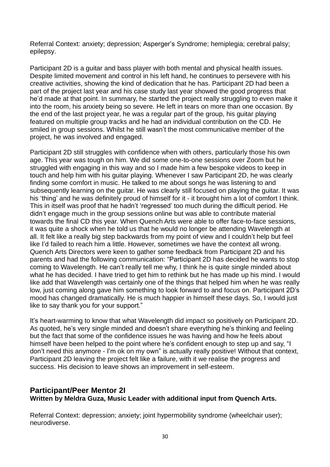Referral Context: anxiety; depression; Asperger's Syndrome; hemiplegia; cerebral palsy; epilepsy.

Participant 2D is a guitar and bass player with both mental and physical health issues. Despite limited movement and control in his left hand, he continues to persevere with his creative activities, showing the kind of dedication that he has. Participant 2D had been a part of the project last year and his case study last year showed the good progress that he'd made at that point. In summary, he started the project really struggling to even make it into the room, his anxiety being so severe. He left in tears on more than one occasion. By the end of the last project year, he was a regular part of the group, his guitar playing featured on multiple group tracks and he had an individual contribution on the CD. He smiled in group sessions. Whilst he still wasn't the most communicative member of the project, he was involved and engaged.

Participant 2D still struggles with confidence when with others, particularly those his own age. This year was tough on him. We did some one-to-one sessions over Zoom but he struggled with engaging in this way and so I made him a few bespoke videos to keep in touch and help him with his guitar playing. Whenever I saw Participant 2D, he was clearly finding some comfort in music. He talked to me about songs he was listening to and subsequently learning on the guitar. He was clearly still focused on playing the guitar. It was his 'thing' and he was definitely proud of himself for it - it brought him a lot of comfort I think. This in itself was proof that he hadn't 'regressed' too much during the difficult period. He didn't engage much in the group sessions online but was able to contribute material towards the final CD this year. When Quench Arts were able to offer face-to-face sessions, it was quite a shock when he told us that he would no longer be attending Wavelength at all. It felt like a really big step backwards from my point of view and I couldn't help but feel like I'd failed to reach him a little. However, sometimes we have the context all wrong. Quench Arts Directors were keen to gather some feedback from Participant 2D and his parents and had the following communication: "Participant 2D has decided he wants to stop coming to Wavelength. He can't really tell me why, I think he is quite single minded about what he has decided. I have tried to get him to rethink but he has made up his mind. I would like add that Wavelength was certainly one of the things that helped him when he was really low, just coming along gave him something to look forward to and focus on. Participant 2D's mood has changed dramatically. He is much happier in himself these days. So, I would just like to say thank you for your support."

It's heart-warming to know that what Wavelength did impact so positively on Participant 2D. As quoted, he's very single minded and doesn't share everything he's thinking and feeling but the fact that some of the confidence issues he was having and how he feels about himself have been helped to the point where he's confident enough to step up and say, "I don't need this anymore - I'm ok on my own" is actually really positive! Without that context, Participant 2D leaving the project felt like a failure, with it we realise the progress and success. His decision to leave shows an improvement in self-esteem.

# **Participant/Peer Mentor 2I Written by Meldra Guza, Music Leader with additional input from Quench Arts.**

Referral Context: depression; anxiety; joint hypermobility syndrome (wheelchair user); neurodiverse.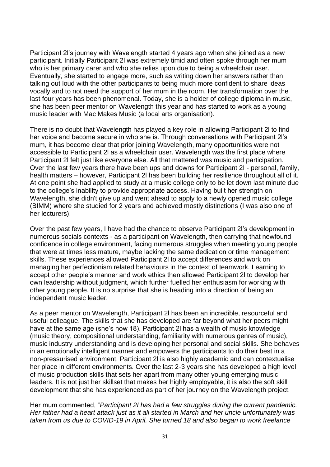Participant 2l's journey with Wavelength started 4 years ago when she joined as a new participant. Initially Participant 2l was extremely timid and often spoke through her mum who is her primary carer and who she relies upon due to being a wheelchair user. Eventually, she started to engage more, such as writing down her answers rather than talking out loud with the other participants to being much more confident to share ideas vocally and to not need the support of her mum in the room. Her transformation over the last four years has been phenomenal. Today, she is a holder of college diploma in music, she has been peer mentor on Wavelength this year and has started to work as a young music leader with Mac Makes Music (a local arts organisation).

There is no doubt that Wavelength has played a key role in allowing Participant 2l to find her voice and become secure in who she is. Through conversations with Participant 2l's mum, it has become clear that prior joining Wavelength, many opportunities were not accessible to Participant 2l as a wheelchair user. Wavelength was the first place where Participant 2l felt just like everyone else. All that mattered was music and participation. Over the last few years there have been ups and downs for Participant 2I - personal, family, health matters – however, Participant 2l has been building her resilience throughout all of it. At one point she had applied to study at a music college only to be let down last minute due to the college's inability to provide appropriate access. Having built her strength on Wavelength, she didn't give up and went ahead to apply to a newly opened music college (BIMM) where she studied for 2 years and achieved mostly distinctions (I was also one of her lecturers).

Over the past few years, I have had the chance to observe Participant 2l's development in numerous socials contexts - as a participant on Wavelength, then carrying that newfound confidence in college environment, facing numerous struggles when meeting young people that were at times less mature, maybe lacking the same dedication or time management skills. These experiences allowed Participant 2l to accept differences and work on managing her perfectionism related behaviours in the context of teamwork. Learning to accept other people's manner and work ethics then allowed Participant 2l to develop her own leadership without judgment, which further fuelled her enthusiasm for working with other young people. It is no surprise that she is heading into a direction of being an independent music leader.

As a peer mentor on Wavelength, Participant 2l has been an incredible, resourceful and useful colleague. The skills that she has developed are far beyond what her peers might have at the same age (she's now 18). Participant 2l has a wealth of music knowledge (music theory, compositional understanding, familiarity with numerous genres of music), music industry understanding and is developing her personal and social skills. She behaves in an emotionally intelligent manner and empowers the participants to do their best in a non-pressurised environment. Participant 2l is also highly academic and can contextualise her place in different environments. Over the last 2-3 years she has developed a high level of music production skills that sets her apart from many other young emerging music leaders. It is not just her skillset that makes her highly employable, it is also the soft skill development that she has experienced as part of her journey on the Wavelength project.

Her mum commented, "*Participant 2I has had a few struggles during the current pandemic. Her father had a heart attack just as it all started in March and her uncle unfortunately was taken from us due to COVID-19 in April. She turned 18 and also began to work freelance*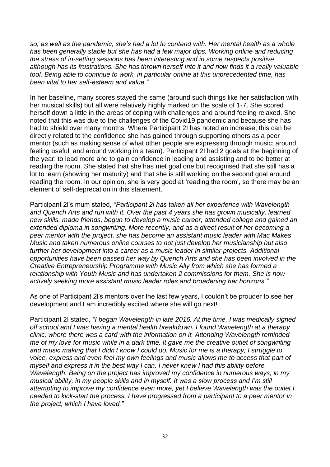*so, as well as the pandemic, she's had a lot to contend with. Her mental health as a whole has been generally stable but she has had a few major dips. Working online and reducing the stress of in-setting sessions has been interesting and in some respects positive although has its frustrations. She has thrown herself into it and now finds it a really valuable tool. Being able to continue to work, in particular online at this unprecedented time, has been vital to her self-esteem and value."*

In her baseline, many scores stayed the same (around such things like her satisfaction with her musical skills) but all were relatively highly marked on the scale of 1-7. She scored herself down a little in the areas of coping with challenges and around feeling relaxed. She noted that this was due to the challenges of the Covid19 pandemic and because she has had to shield over many months. Where Participant 2I has noted an increase, this can be directly related to the confidence she has gained through supporting others as a peer mentor (such as making sense of what other people are expressing through music; around feeling useful; and around working in a team). Participant 2I had 2 goals at the beginning of the year: to lead more and to gain confidence in leading and assisting and to be better at reading the room. She stated that she has met goal one but recognised that she still has a lot to learn (showing her maturity) and that she is still working on the second goal around reading the room. In our opinion, she is very good at 'reading the room', so there may be an element of self-deprecation in this statement.

Participant 2l's mum stated, *"Participant 2l has taken all her experience with Wavelength and Quench Arts and run with it. Over the past 4 years she has grown musically, learned new skills, made friends, begun to develop a music career, attended college and gained an extended diploma in songwriting. More recently, and as a direct result of her becoming a peer mentor with the project, she has become an assistant music leader with Mac Makes Music and taken numerous online courses to not just develop her musicianship but also further her development into a career as a music leader in similar projects. Additional opportunities have been passed her way by Quench Arts and she has been involved in the Creative Entrepreneurship Programme with Music Ally from which she has formed a relationship with Youth Music and has undertaken 2 commissions for them. She is now actively seeking more assistant music leader roles and broadening her horizons."*

As one of Participant 2l's mentors over the last few years, I couldn't be prouder to see her development and I am incredibly excited where she will go next!

Participant 2I stated, *"I began Wavelength in late 2016. At the time, I was medically signed off school and I was having a mental health breakdown. I found Wavelength at a therapy clinic, where there was a card with the information on it. Attending Wavelength reminded me of my love for music while in a dark time. It gave me the creative outlet of songwriting and music making that I didn't know I could do. Music for me is a therapy; I struggle to voice, express and even feel my own feelings and music allows me to access that part of myself and express it in the best way I can. I never knew I had this ability before Wavelength. Being on the project has improved my confidence in numerous ways; in my musical ability, in my people skills and in myself. It was a slow process and I'm still attempting to improve my confidence even more, yet I believe Wavelength was the outlet I needed to kick-start the process. I have progressed from a participant to a peer mentor in the project, which I have loved."*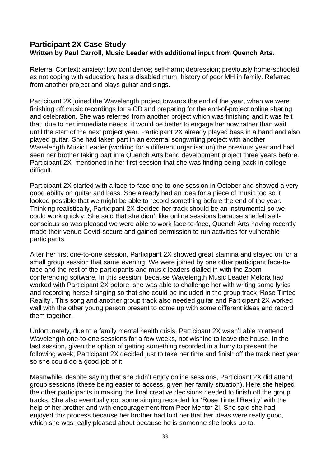## **Participant 2X Case Study Written by Paul Carroll, Music Leader with additional input from Quench Arts.**

Referral Context: anxiety; low confidence; self-harm; depression; previously home-schooled as not coping with education; has a disabled mum; history of poor MH in family. Referred from another project and plays guitar and sings.

Participant 2X joined the Wavelength project towards the end of the year, when we were finishing off music recordings for a CD and preparing for the end-of-project online sharing and celebration. She was referred from another project which was finishing and it was felt that, due to her immediate needs, it would be better to engage her now rather than wait until the start of the next project year. Participant 2X already played bass in a band and also played guitar. She had taken part in an external songwriting project with another Wavelength Music Leader (working for a different organisation) the previous year and had seen her brother taking part in a Quench Arts band development project three years before. Participant 2X mentioned in her first session that she was finding being back in college difficult.

Participant 2X started with a face-to-face one-to-one session in October and showed a very good ability on guitar and bass. She already had an idea for a piece of music too so it looked possible that we might be able to record something before the end of the year. Thinking realistically, Participant 2X decided her track should be an instrumental so we could work quickly. She said that she didn't like online sessions because she felt selfconscious so was pleased we were able to work face-to-face, Quench Arts having recently made their venue Covid-secure and gained permission to run activities for vulnerable participants.

After her first one-to-one session, Participant 2X showed great stamina and stayed on for a small group session that same evening. We were joined by one other participant face-toface and the rest of the participants and music leaders dialled in with the Zoom conferencing software. In this session, because Wavelength Music Leader Meldra had worked with Participant 2X before, she was able to challenge her with writing some lyrics and recording herself singing so that she could be included in the group track 'Rose Tinted Reality'. This song and another group track also needed guitar and Participant 2X worked well with the other young person present to come up with some different ideas and record them together.

Unfortunately, due to a family mental health crisis, Participant 2X wasn't able to attend Wavelength one-to-one sessions for a few weeks, not wishing to leave the house. In the last session, given the option of getting something recorded in a hurry to present the following week, Participant 2X decided just to take her time and finish off the track next year so she could do a good job of it.

Meanwhile, despite saying that she didn't enjoy online sessions, Participant 2X did attend group sessions (these being easier to access, given her family situation). Here she helped the other participants in making the final creative decisions needed to finish off the group tracks. She also eventually got some singing recorded for 'Rose Tinted Reality' with the help of her brother and with encouragement from Peer Mentor 2I. She said she had enjoyed this process because her brother had told her that her ideas were really good, which she was really pleased about because he is someone she looks up to.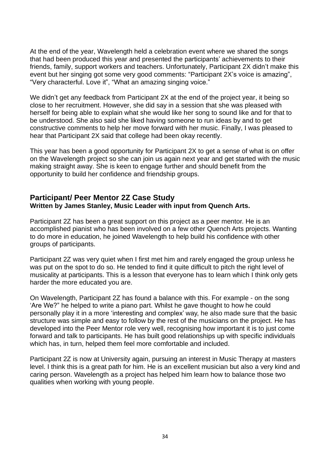At the end of the year, Wavelength held a celebration event where we shared the songs that had been produced this year and presented the participants' achievements to their friends, family, support workers and teachers. Unfortunately, Participant 2X didn't make this event but her singing got some very good comments: "Participant 2X's voice is amazing", "Very characterful. Love it", "What an amazing singing voice."

We didn't get any feedback from Participant 2X at the end of the project year, it being so close to her recruitment. However, she did say in a session that she was pleased with herself for being able to explain what she would like her song to sound like and for that to be understood. She also said she liked having someone to run ideas by and to get constructive comments to help her move forward with her music. Finally, I was pleased to hear that Participant 2X said that college had been okay recently.

This year has been a good opportunity for Participant 2X to get a sense of what is on offer on the Wavelength project so she can join us again next year and get started with the music making straight away. She is keen to engage further and should benefit from the opportunity to build her confidence and friendship groups.

## **Participant/ Peer Mentor 2Z Case Study Written by James Stanley, Music Leader with input from Quench Arts.**

Participant 2Z has been a great support on this project as a peer mentor. He is an accomplished pianist who has been involved on a few other Quench Arts projects. Wanting to do more in education, he joined Wavelength to help build his confidence with other groups of participants.

Participant 2Z was very quiet when I first met him and rarely engaged the group unless he was put on the spot to do so. He tended to find it quite difficult to pitch the right level of musicality at participants. This is a lesson that everyone has to learn which I think only gets harder the more educated you are.

On Wavelength, Participant 2Z has found a balance with this. For example - on the song 'Are We?" he helped to write a piano part. Whilst he gave thought to how he could personally play it in a more 'interesting and complex' way, he also made sure that the basic structure was simple and easy to follow by the rest of the musicians on the project. He has developed into the Peer Mentor role very well, recognising how important it is to just come forward and talk to participants. He has built good relationships up with specific individuals which has, in turn, helped them feel more comfortable and included.

Participant 2Z is now at University again, pursuing an interest in Music Therapy at masters level. I think this is a great path for him. He is an excellent musician but also a very kind and caring person. Wavelength as a project has helped him learn how to balance those two qualities when working with young people.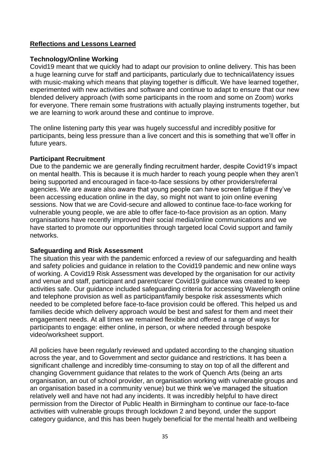## **Reflections and Lessons Learned**

#### **Technology/Online Working**

Covid19 meant that we quickly had to adapt our provision to online delivery. This has been a huge learning curve for staff and participants, particularly due to technical/latency issues with music-making which means that playing together is difficult. We have learned together, experimented with new activities and software and continue to adapt to ensure that our new blended delivery approach (with some participants in the room and some on Zoom) works for everyone. There remain some frustrations with actually playing instruments together, but we are learning to work around these and continue to improve.

The online listening party this year was hugely successful and incredibly positive for participants, being less pressure than a live concert and this is something that we'll offer in future years.

#### **Participant Recruitment**

Due to the pandemic we are generally finding recruitment harder, despite Covid19's impact on mental health. This is because it is much harder to reach young people when they aren't being supported and encouraged in face-to-face sessions by other providers/referral agencies. We are aware also aware that young people can have screen fatigue if they've been accessing education online in the day, so might not want to join online evening sessions. Now that we are Covid-secure and allowed to continue face-to-face working for vulnerable young people, we are able to offer face-to-face provision as an option. Many organisations have recently improved their social media/online communications and we have started to promote our opportunities through targeted local Covid support and family networks.

#### **Safeguarding and Risk Assessment**

The situation this year with the pandemic enforced a review of our safeguarding and health and safety policies and guidance in relation to the Covid19 pandemic and new online ways of working. A Covid19 Risk Assessment was developed by the organisation for our activity and venue and staff, participant and parent/carer Covid19 guidance was created to keep activities safe. Our guidance included safeguarding criteria for accessing Wavelength online and telephone provision as well as participant/family bespoke risk assessments which needed to be completed before face-to-face provision could be offered. This helped us and families decide which delivery approach would be best and safest for them and meet their engagement needs. At all times we remained flexible and offered a range of ways for participants to engage: either online, in person, or where needed through bespoke video/worksheet support.

All policies have been regularly reviewed and updated according to the changing situation across the year, and to Government and sector guidance and restrictions. It has been a significant challenge and incredibly time-consuming to stay on top of all the different and changing Government guidance that relates to the work of Quench Arts (being an arts organisation, an out of school provider, an organisation working with vulnerable groups and an organisation based in a community venue) but we think we've managed the situation relatively well and have not had any incidents. It was incredibly helpful to have direct permission from the Director of Public Health in Birmingham to continue our face-to-face activities with vulnerable groups through lockdown 2 and beyond, under the support category guidance, and this has been hugely beneficial for the mental health and wellbeing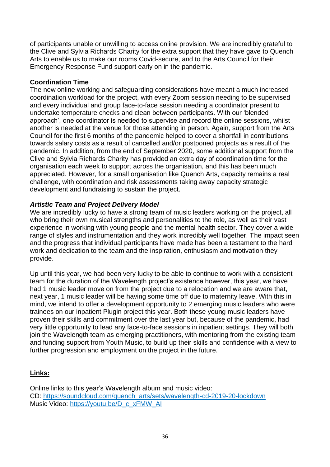of participants unable or unwilling to access online provision. We are incredibly grateful to the Clive and Sylvia Richards Charity for the extra support that they have gave to Quench Arts to enable us to make our rooms Covid-secure, and to the Arts Council for their Emergency Response Fund support early on in the pandemic.

## **Coordination Time**

The new online working and safeguarding considerations have meant a much increased coordination workload for the project, with every Zoom session needing to be supervised and every individual and group face-to-face session needing a coordinator present to undertake temperature checks and clean between participants. With our 'blended approach', one coordinator is needed to supervise and record the online sessions, whilst another is needed at the venue for those attending in person. Again, support from the Arts Council for the first 6 months of the pandemic helped to cover a shortfall in contributions towards salary costs as a result of cancelled and/or postponed projects as a result of the pandemic. In addition, from the end of September 2020, some additional support from the Clive and Sylvia Richards Charity has provided an extra day of coordination time for the organisation each week to support across the organisation, and this has been much appreciated. However, for a small organisation like Quench Arts, capacity remains a real challenge, with coordination and risk assessments taking away capacity strategic development and fundraising to sustain the project.

#### *Artistic Team and Project Delivery Model*

We are incredibly lucky to have a strong team of music leaders working on the project, all who bring their own musical strengths and personalities to the role, as well as their vast experience in working with young people and the mental health sector. They cover a wide range of styles and instrumentation and they work incredibly well together. The impact seen and the progress that individual participants have made has been a testament to the hard work and dedication to the team and the inspiration, enthusiasm and motivation they provide.

Up until this year, we had been very lucky to be able to continue to work with a consistent team for the duration of the Wavelength project's existence however, this year, we have had 1 music leader move on from the project due to a relocation and we are aware that, next year, 1 music leader will be having some time off due to maternity leave. With this in mind, we intend to offer a development opportunity to 2 emerging music leaders who were trainees on our inpatient Plugin project this year. Both these young music leaders have proven their skills and commitment over the last year but, because of the pandemic, had very little opportunity to lead any face-to-face sessions in inpatient settings. They will both join the Wavelength team as emerging practitioners, with mentoring from the existing team and funding support from Youth Music, to build up their skills and confidence with a view to further progression and employment on the project in the future.

## **Links:**

Online links to this year's Wavelength album and music video: CD: [https://soundcloud.com/quench\\_arts/sets/wavelength-cd-2019-20-lockdown](https://soundcloud.com/quench_arts/sets/wavelength-cd-2019-20-lockdown) Music Video: [https://youtu.be/D\\_c\\_xFMW\\_AI](https://youtu.be/D_c_xFMW_AI)